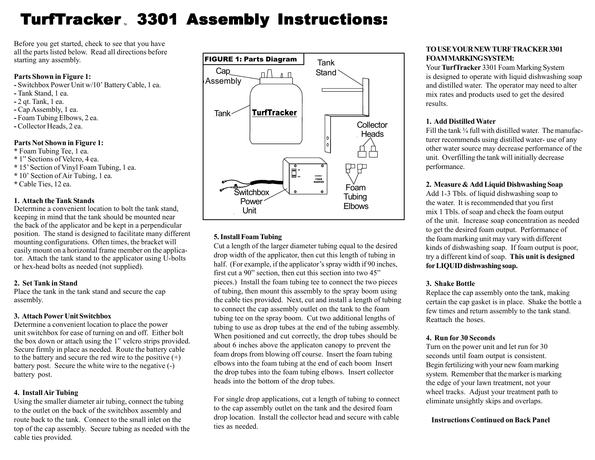# TurfTracker 3301 Assembly Instructions:

Before you get started, check to see that you have all the parts listed below. Read all directions before starting any assembly.

#### **Parts Shown in Figure 1:**

- **-** Switchbox Power Unit w/10' Battery Cable, 1 ea.
- **-** Tank Stand, 1 ea.
- **-** 2 qt. Tank, 1 ea.
- **-** Cap Assembly, 1 ea.
- **-** Foam Tubing Elbows, 2 ea.
- **-** Collector Heads, 2 ea.

# **Parts Not Shown in Figure 1:**

- \* Foam Tubing Tee, 1 ea.
- **\*** 1" Sections of Velcro, 4 ea.
- **\*** 15' Section of Vinyl Foam Tubing, 1 ea.
- **\*** 10' Section of Air Tubing, 1 ea.
- **\*** Cable Ties, 12 ea.

# **1. Attach the Tank Stands**

Determine a convenient location to bolt the tank stand, keeping in mind that the tank should be mounted near the back of the applicator and be kept in a perpendicular position. The stand is designed to facilitate many different mounting configurations. Often times, the bracket will easily mount on a horizontal frame member on the applicator. Attach the tank stand to the applicator using U-bolts or hex-head bolts as needed (not supplied).

#### **2. Set Tank in Stand**

Place the tank in the tank stand and secure the cap assembly.

#### **3. Attach Power Unit Switchbox**

Determine a convenient location to place the power unit switchbox for ease of turning on and off. Either bolt the box down or attach using the 1" velcro strips provided. Secure firmly in place as needed. Route the battery cable to the battery and secure the red wire to the positive  $(+)$ battery post. Secure the white wire to the negative (-) battery post.

# **4. Install Air Tubing**

Using the smaller diameter air tubing, connect the tubing to the outlet on the back of the switchbox assembly and route back to the tank. Connect to the small inlet on the top of the cap assembly. Secure tubing as needed with the cable ties provided.



# **5. Install Foam Tubing**

Cut a length of the larger diameter tubing equal to the desired drop width of the applicator, then cut this length of tubing in half. (For example, if the applicator's spray width if 90 inches, first cut a 90" section, then cut this section into two 45" pieces.) Install the foam tubing tee to connect the two pieces of tubing, then mount this assembly to the spray boom using the cable ties provided. Next, cut and install a length of tubing to connect the cap assembly outlet on the tank to the foam tubing tee on the spray boom. Cut two additional lengths of tubing to use as drop tubes at the end of the tubing assembly. When positioned and cut correctly, the drop tubes should be about 6 inches above the applicaton canopy to prevent the foam drops from blowing off course. Insert the foam tubing elbows into the foam tubing at the end of each boom Insert the drop tubes into the foam tubing elbows. Insert collector heads into the bottom of the drop tubes.

For single drop applications, cut a length of tubing to connect to the cap assembly outlet on the tank and the desired foam drop location. Install the collector head and secure with cable ties as needed.

# **TO USE YOUR NEW TURF TRACKER 3301 FOAM MARKING SYSTEM:**

Your **TurfTracker** 3301 Foam Marking System is designed to operate with liquid dishwashing soap and distilled water. The operator may need to alter mix rates and products used to get the desired results.

#### **1. Add Distilled Water**

Fill the tank <sup>3</sup>/<sub>4</sub> full with distilled water. The manufacturer recommends using distilled water- use of any other water source may decrease performance of the unit. Overfilling the tank will initially decrease performance.

# **2. Measure & Add Liquid Dishwashing Soap**

Add 1-3 Tbls. of liquid dishwashing soap to the water. It is recommended that you first mix 1 Tbls. of soap and check the foam output of the unit. Increase soap concentration as needed to get the desired foam output. Performance of the foam marking unit may vary with different kinds of dishwashing soap. If foam output is poor, try a different kind of soap. **This unit is designed for LIQUID dishwashing soap.**

#### **3. Shake Bottle**

Replace the cap assembly onto the tank, making certain the cap gasket is in place. Shake the bottle a few times and return assembly to the tank stand. Reattach the hoses.

#### **4. Run for 30 Seconds**

Turn on the power unit and let run for 30 seconds until foam output is consistent. Begin fertilizing with your new foam marking system. Remember that the marker is marking the edge of your lawn treatment, not your wheel tracks. Adjust your treatment path to eliminate unsightly skips and overlaps.

#### **Instructions Continued on Back Panel**